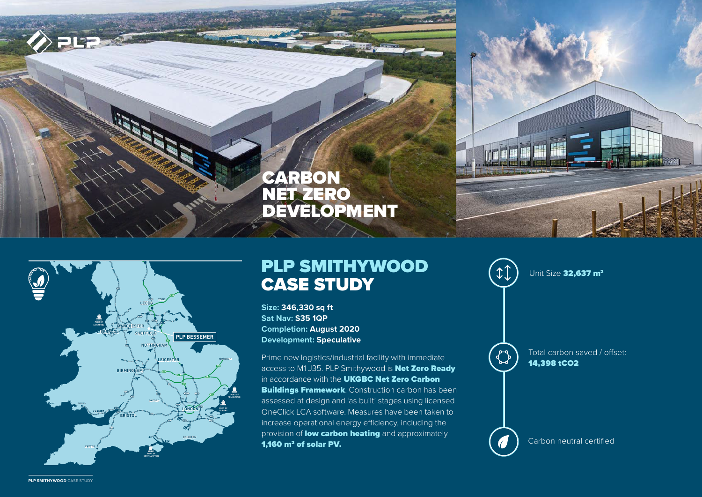



# PLP SMITHYWOOD CASE STUDY

**Size: 346,330 sq ft Sat Nav: S35 1QP Completion: August 2020 Development: Speculative**

Prime new logistics/industrial facility with immediate access to M1 J35. PLP Smithywood is **Net Zero Ready** in accordance with the UKGBC Net Zero Carbon **Buildings Framework**. Construction carbon has been assessed at design and 'as built' stages using licensed OneClick LCA software. Measures have been taken to increase operational energy efficiency, including the provision of **low carbon heating** and approximately 1.160  $m<sup>2</sup>$  of solar PV.



wood case study **PLP smithywood** case study